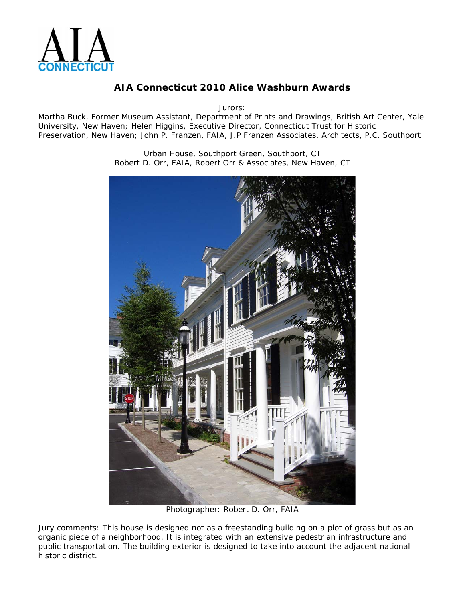

Jurors:

Martha Buck, Former Museum Assistant, Department of Prints and Drawings, British Art Center, Yale University, New Haven; Helen Higgins, Executive Director, Connecticut Trust for Historic Preservation, New Haven; John P. Franzen, FAIA, J.P Franzen Associates, Architects, P.C. Southport

> Urban House, Southport Green, Southport, CT Robert D. Orr, FAIA, Robert Orr & Associates, New Haven, CT



Photographer: Robert D. Orr, FAIA

Jury comments: *This house is designed not as a freestanding building on a plot of grass but as an organic piece of a neighborhood. It is integrated with an extensive pedestrian infrastructure and public transportation. The building exterior is designed to take into account the adjacent national historic district.*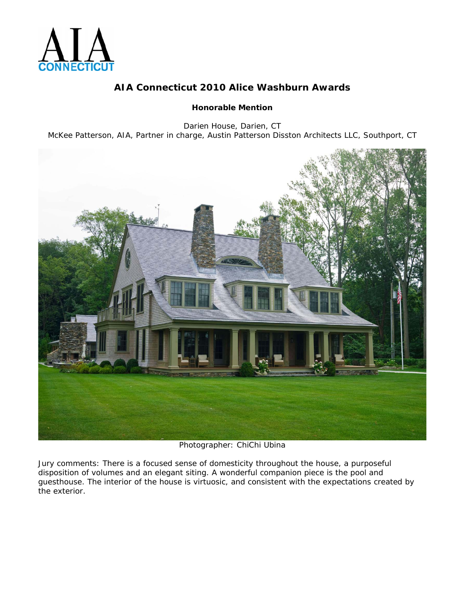

#### **Honorable Mention**

Darien House, Darien, CT McKee Patterson, AIA, Partner in charge, Austin Patterson Disston Architects LLC, Southport, CT



Photographer: ChiChi Ubina

Jury comments: *There is a focused sense of domesticity throughout the house, a purposeful disposition of volumes and an elegant siting. A wonderful companion piece is the pool and guesthouse. The interior of the house is virtuosic, and consistent with the expectations created by the exterior.*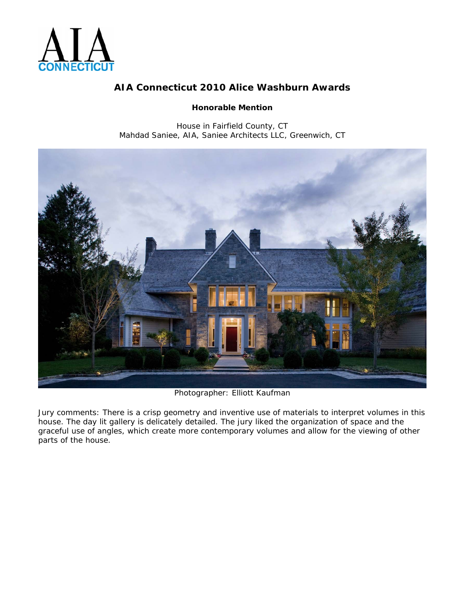

#### **Honorable Mention**

House in Fairfield County, CT Mahdad Saniee, AIA, Saniee Architects LLC, Greenwich, CT



Photographer: Elliott Kaufman

Jury comments: *There is a crisp geometry and inventive use of materials to interpret volumes in this house. The day lit gallery is delicately detailed. The jury liked the organization of space and the graceful use of angles, which create more contemporary volumes and allow for the viewing of other parts of the house.*